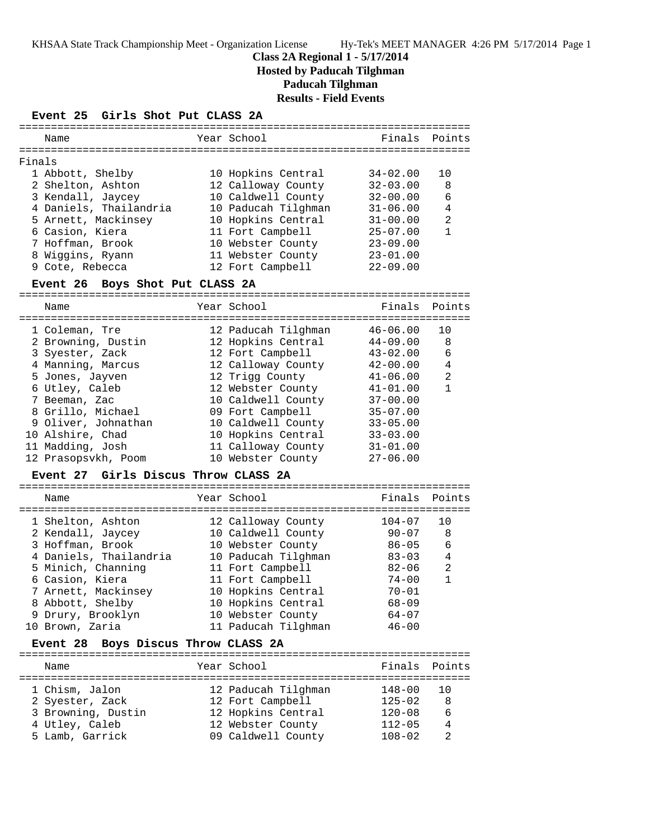KHSAA State Track Championship Meet - Organization License Hy-Tek's MEET MANAGER 4:26 PM 5/17/2014 Page 1

## **Class 2A Regional 1 - 5/17/2014 Hosted by Paducah Tilghman Paducah Tilghman Results - Field Events**

### **Event 25 Girls Shot Put CLASS 2A**

| Name                   | Year School         | Finals Points |                |
|------------------------|---------------------|---------------|----------------|
| Finals                 |                     |               |                |
| 1 Abbott, Shelby       | 10 Hopkins Central  | $34 - 02.00$  | 1 O            |
| 2 Shelton, Ashton      | 12 Calloway County  | $32 - 03.00$  | 8              |
| 3 Kendall, Jaycey      | 10 Caldwell County  | $32 - 00.00$  | 6              |
| 4 Daniels, Thailandria | 10 Paducah Tilghman | $31 - 06.00$  | $\overline{4}$ |
| 5 Arnett, Mackinsey    | 10 Hopkins Central  | $31 - 00.00$  | $\mathfrak{D}$ |
| 6 Casion, Kiera        | 11 Fort Campbell    | $25 - 07.00$  |                |
| 7 Hoffman, Brook       | 10 Webster County   | $23 - 09.00$  |                |
| 8 Wiggins, Ryann       | 11 Webster County   | $23 - 01.00$  |                |
| 9 Cote, Rebecca        | 12 Fort Campbell    | $22 - 09.00$  |                |
|                        |                     |               |                |

## **Event 26 Boys Shot Put CLASS 2A**

======================================================================= Name The Year School The Pinals Points ======================================================================= 1 Coleman, Tre 12 Paducah Tilghman 46-06.00 10 2 Browning, Dustin 12 Hopkins Central 44-09.00 8 3 Syester, Zack 12 Fort Campbell 43-02.00 6 4 Manning, Marcus 12 Calloway County 42-00.00 4 5 Jones, Jayven 12 Trigg County 41-06.00 2 6 Utley, Caleb 12 Webster County 41-01.00 1 7 Beeman, Zac 10 Caldwell County 37-00.00 8 Grillo, Michael 09 Fort Campbell 35-07.00 9 Oliver, Johnathan 10 Caldwell County 33-05.00 10 Alshire, Chad 10 Hopkins Central 33-03.00 11 Madding, Josh 11 Calloway County 31-01.00 12 Prasopsvkh, Poom 10 Webster County 27-06.00

#### **Event 27 Girls Discus Throw CLASS 2A**

| Name                                                                                                                                                                                                             | Year School                                                                                                                                                                                                          | Finals Points                                                                                                                   |                                                  |
|------------------------------------------------------------------------------------------------------------------------------------------------------------------------------------------------------------------|----------------------------------------------------------------------------------------------------------------------------------------------------------------------------------------------------------------------|---------------------------------------------------------------------------------------------------------------------------------|--------------------------------------------------|
| 1 Shelton, Ashton<br>2 Kendall, Jaycey<br>3 Hoffman, Brook<br>4 Daniels, Thailandria<br>5 Minich, Channing<br>6 Casion, Kiera<br>7 Arnett, Mackinsey<br>8 Abbott, Shelby<br>9 Drury, Brooklyn<br>10 Brown, Zaria | 12 Calloway County<br>10 Caldwell County<br>10 Webster County<br>10 Paducah Tilghman<br>11 Fort Campbell<br>11 Fort Campbell<br>10 Hopkins Central<br>10 Hopkins Central<br>10 Webster County<br>11 Paducah Tilghman | $104 - 07$<br>$90 - 07$<br>$86 - 05$<br>$83 - 03$<br>$82 - 06$<br>$74 - 00$<br>$70 - 01$<br>$68 - 09$<br>$64 - 07$<br>$46 - 00$ | 10<br>8<br>6<br>$\overline{4}$<br>$\mathfrak{D}$ |
|                                                                                                                                                                                                                  |                                                                                                                                                                                                                      |                                                                                                                                 |                                                  |

#### **Event 28 Boys Discus Throw CLASS 2A**

| Name               | Year School         | Finals Points |                 |
|--------------------|---------------------|---------------|-----------------|
| 1 Chism, Jalon     | 12 Paducah Tilghman | $148 - 00$    | $\overline{10}$ |
| 2 Syester, Zack    | 12 Fort Campbell    | $125 - 02$    | 8               |
| 3 Browning, Dustin | 12 Hopkins Central  | $120 - 08$    | 6               |
| 4 Utley, Caleb     | 12 Webster County   | $112 - 05$    | $\overline{4}$  |
| 5 Lamb, Garrick    | 09 Caldwell County  | $108 - 02$    | っ               |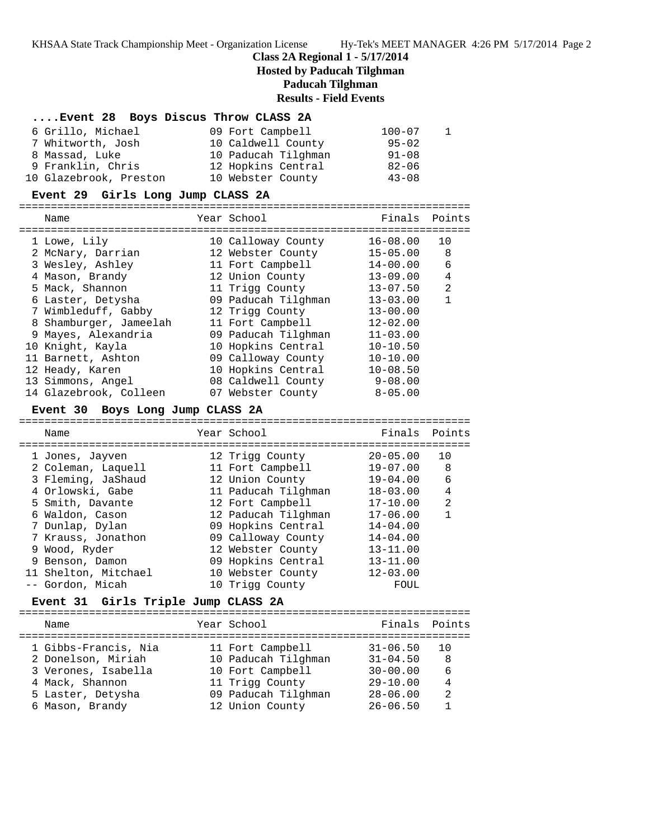KHSAA State Track Championship Meet - Organization License Hy-Tek's MEET MANAGER 4:26 PM 5/17/2014 Page 2

#### **Class 2A Regional 1 - 5/17/2014**

**Hosted by Paducah Tilghman**

**Paducah Tilghman**

### **Results - Field Events**

| Event 28 Boys Discus Throw CLASS 2A |  |  |  |  |  |  |
|-------------------------------------|--|--|--|--|--|--|
|-------------------------------------|--|--|--|--|--|--|

| 6 Grillo, Michael      | 09 Fort Campbell    | $100 - 07$ |  |
|------------------------|---------------------|------------|--|
| 7 Whitworth, Josh      | 10 Caldwell County  | $95 - 02$  |  |
| 8 Massad, Luke         | 10 Paducah Tilghman | $91 - 08$  |  |
| 9 Franklin, Chris      | 12 Hopkins Central  | $82 - 06$  |  |
| 10 Glazebrook, Preston | 10 Webster County   | $43 - 08$  |  |

### **Event 29 Girls Long Jump CLASS 2A**

======================================================================= Name Year School Finals Points ======================================================================= 1 Lowe, Lily 10 Calloway County 16-08.00 10 2 McNary, Darrian 12 Webster County 15-05.00 8 3 Wesley, Ashley 11 Fort Campbell 14-00.00 6 4 Mason, Brandy 12 Union County 13-09.00 4 5 Mack, Shannon 11 Trigg County 13-07.50 2 6 Laster, Detysha 09 Paducah Tilghman 13-03.00 1 7 Wimbleduff, Gabby 12 Trigg County 13-00.00 8 Shamburger, Jameelah 11 Fort Campbell 12-02.00 9 Mayes, Alexandria 09 Paducah Tilghman 11-03.00 10 Knight, Kayla 10 Hopkins Central 10-10.50 11 Barnett, Ashton 09 Calloway County 10-10.00 12 Heady, Karen 10 Hopkins Central 10-08.50 13 Simmons, Angel 08 Caldwell County 9-08.00 14 Glazebrook, Colleen 07 Webster County 8-05.00

#### **Event 30 Boys Long Jump CLASS 2A**

======================================================================= Name The Year School The Finals Points ======================================================================= 1 Jones, Jayven 12 Trigg County 20-05.00 10 2 Coleman, Laquell 11 Fort Campbell 19-07.00 8 3 Fleming, JaShaud 12 Union County 19-04.00 6 4 Orlowski, Gabe 11 Paducah Tilghman 18-03.00 4 5 Smith, Davante 12 Fort Campbell 17-10.00 2 6 Waldon, Cason 12 Paducah Tilghman 17-06.00 1 7 Dunlap, Dylan 09 Hopkins Central 14-04.00 7 Krauss, Jonathon 09 Calloway County 14-04.00 9 Wood, Ryder 12 Webster County 13-11.00 9 Benson, Damon 09 Hopkins Central 13-11.00 11 Shelton, Mitchael 10 Webster County 12-03.00 -- Gordon, Micah 10 Trigg County FOUL

## **Event 31 Girls Triple Jump CLASS 2A**

| Name                                                                                                                         | Year School                                                                                                              | Finals Points                                                                                |                                                    |
|------------------------------------------------------------------------------------------------------------------------------|--------------------------------------------------------------------------------------------------------------------------|----------------------------------------------------------------------------------------------|----------------------------------------------------|
| 1 Gibbs-Francis, Nia<br>2 Donelson, Miriah<br>3 Verones, Isabella<br>4 Mack, Shannon<br>5 Laster, Detysha<br>6 Mason, Brandy | 11 Fort Campbell<br>10 Paducah Tilghman<br>10 Fort Campbell<br>11 Trigg County<br>09 Paducah Tilghman<br>12 Union County | $31 - 06.50$<br>$31 - 04.50$<br>$30 - 00.00$<br>$29 - 10.00$<br>$28 - 06.00$<br>$26 - 06.50$ | 1 O<br>-8<br>6<br>$\overline{4}$<br>$\mathfrak{D}$ |
|                                                                                                                              |                                                                                                                          |                                                                                              |                                                    |